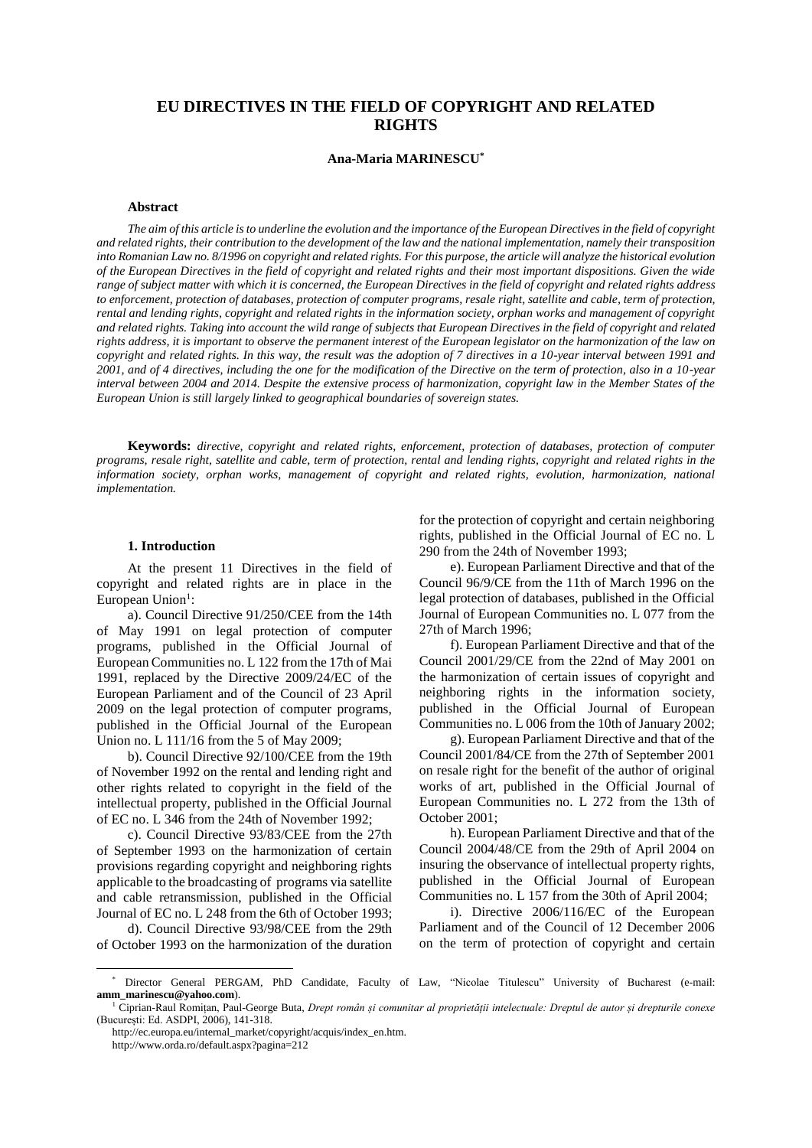# **EU DIRECTIVES IN THE FIELD OF COPYRIGHT AND RELATED RIGHTS**

# **Ana-Maria MARINESCU\***

# **Abstract**

*The aim of this article is to underline the evolution and the importance of the European Directives in the field of copyright and related rights, their contribution to the development of the law and the national implementation, namely their transposition into Romanian Law no. 8/1996 on copyright and related rights. For this purpose, the article will analyze the historical evolution of the European Directives in the field of copyright and related rights and their most important dispositions. Given the wide range of subject matter with which it is concerned, the European Directives in the field of copyright and related rights address to enforcement, protection of databases, protection of computer programs, resale right, satellite and cable, term of protection, rental and lending rights, copyright and related rights in the information society, orphan works and management of copyright and related rights. Taking into account the wild range of subjects that European Directives in the field of copyright and related rights address, it is important to observe the permanent interest of the European legislator on the harmonization of the law on copyright and related rights. In this way, the result was the adoption of 7 directives in a 10-year interval between 1991 and 2001, and of 4 directives, including the one for the modification of the Directive on the term of protection, also in a 10-year interval between 2004 and 2014. Despite the extensive process of harmonization, copyright law in the Member States of the European Union is still largely linked to geographical boundaries of sovereign states.* 

**Keywords:** *directive, copyright and related rights, enforcement, protection of databases, protection of computer programs, resale right, satellite and cable, term of protection, rental and lending rights, copyright and related rights in the information society, orphan works, management of copyright and related rights, evolution, harmonization, national implementation.*

#### **1. Introduction \***

At the present 11 Directives in the field of copyright and related rights are in place in the European Union<sup>1</sup>:

a). Council Directive 91/250/CEE from the 14th of May 1991 on legal protection of computer programs, published in the Official Journal of European Communities no. L 122 from the 17th of Mai 1991, replaced by the Directive 2009/24/EC of the European Parliament and of the Council of 23 April 2009 on the legal protection of computer programs, published in the Official Journal of the European Union no. L 111/16 from the 5 of May 2009;

b). Council Directive 92/100/CEE from the 19th of November 1992 on the rental and lending right and other rights related to copyright in the field of the intellectual property, published in the Official Journal of EC no. L 346 from the 24th of November 1992;

c). Council Directive 93/83/CEE from the 27th of September 1993 on the harmonization of certain provisions regarding copyright and neighboring rights applicable to the broadcasting of programs via satellite and cable retransmission, published in the Official Journal of EC no. L 248 from the 6th of October 1993;

d). Council Directive 93/98/CEE from the 29th of October 1993 on the harmonization of the duration

for the protection of copyright and certain neighboring rights, published in the Official Journal of EC no. L 290 from the 24th of November 1993;

e). European Parliament Directive and that of the Council 96/9/CE from the 11th of March 1996 on the legal protection of databases, published in the Official Journal of European Communities no. L 077 from the 27th of March 1996;

f). European Parliament Directive and that of the Council 2001/29/CE from the 22nd of May 2001 on the harmonization of certain issues of copyright and neighboring rights in the information society, published in the Official Journal of European Communities no. L 006 from the 10th of January 2002;

g). European Parliament Directive and that of the Council 2001/84/CE from the 27th of September 2001 on resale right for the benefit of the author of original works of art, published in the Official Journal of European Communities no. L 272 from the 13th of October 2001;

h). European Parliament Directive and that of the Council 2004/48/CE from the 29th of April 2004 on insuring the observance of intellectual property rights, published in the Official Journal of European Communities no. L 157 from the 30th of April 2004;

i). Directive 2006/116/EC of the European Parliament and of the Council of 12 December 2006 on the term of protection of copyright and certain

<sup>\*</sup> Director General PERGAM, PhD Candidate, Faculty of Law, "Nicolae Titulescu" University of Bucharest (e-mail: **amm\_marinescu@yahoo.com**).

<sup>1</sup> Ciprian-Raul Romițan, Paul-George Buta, *Drept român și comunitar al proprietății intelectuale: Dreptul de autor și drepturile conexe* (București: Ed. ASDPI, 2006), 141-318.

http://ec.europa.eu/internal\_market/copyright/acquis/index\_en.htm.

http://www.orda.ro/default.aspx?pagina=212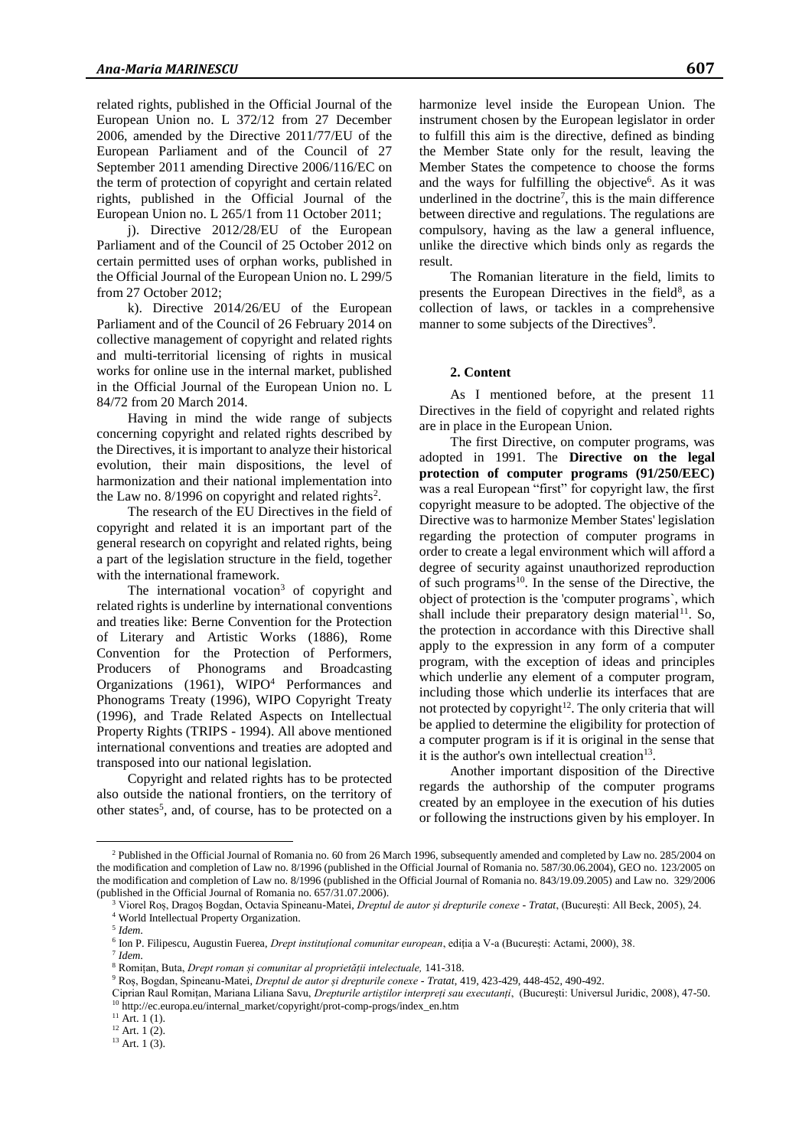related rights, published in the Official Journal of the European Union no. L 372/12 from 27 December 2006, amended by the Directive 2011/77/EU of the European Parliament and of the Council of 27 September 2011 amending Directive 2006/116/EC on the term of protection of copyright and certain related rights, published in the Official Journal of the European Union no. L 265/1 from 11 October 2011;

j). Directive 2012/28/EU of the European Parliament and of the Council of 25 October 2012 on certain permitted uses of orphan works, published in the Official Journal of the European Union no. L 299/5 from 27 October 2012;

k). Directive 2014/26/EU of the European Parliament and of the Council of 26 February 2014 on collective management of copyright and related rights and multi-territorial licensing of rights in musical works for online use in the internal market, published in the Official Journal of the European Union no. L 84/72 from 20 March 2014.

Having in mind the wide range of subjects concerning copyright and related rights described by the Directives, it is important to analyze their historical evolution, their main dispositions, the level of harmonization and their national implementation into the Law no.  $8/1996$  on copyright and related rights<sup>2</sup>.

The research of the EU Directives in the field of copyright and related it is an important part of the general research on copyright and related rights, being a part of the legislation structure in the field, together with the international framework.

The international vocation<sup>3</sup> of copyright and related rights is underline by international conventions and treaties like: Berne Convention for the Protection of Literary and Artistic Works (1886), Rome Convention for the Protection of Performers, Producers of Phonograms and Broadcasting Organizations (1961), WIPO<sup>4</sup> Performances and Phonograms Treaty (1996), WIPO Copyright Treaty (1996), and Trade Related Aspects on Intellectual Property Rights (TRIPS - 1994). All above mentioned international conventions and treaties are adopted and transposed into our national legislation.

Copyright and related rights has to be protected also outside the national frontiers, on the territory of other states<sup>5</sup>, and, of course, has to be protected on a

harmonize level inside the European Union. The instrument chosen by the European legislator in order to fulfill this aim is the directive, defined as binding the Member State only for the result, leaving the Member States the competence to choose the forms and the ways for fulfilling the objective $6$ . As it was underlined in the doctrine<sup>7</sup>, this is the main difference between directive and regulations. The regulations are compulsory, having as the law a general influence, unlike the directive which binds only as regards the result.

The Romanian literature in the field, limits to presents the European Directives in the field<sup>8</sup>, as a collection of laws, or tackles in a comprehensive manner to some subjects of the Directives<sup>9</sup>.

# **2. Content**

As I mentioned before, at the present 11 Directives in the field of copyright and related rights are in place in the European Union.

The first Directive, on computer programs, was adopted in 1991. The **Directive on the legal protection of computer programs (91/250/EEC)** was a real European "first" for copyright law, the first copyright measure to be adopted. The objective of the Directive was to harmonize Member States' legislation regarding the protection of computer programs in order to create a legal environment which will afford a degree of security against unauthorized reproduction of such programs<sup>10</sup>. In the sense of the Directive, the object of protection is the 'computer programs`, which shall include their preparatory design material<sup>11</sup>. So, the protection in accordance with this Directive shall apply to the expression in any form of a computer program, with the exception of ideas and principles which underlie any element of a computer program, including those which underlie its interfaces that are not protected by copyright $12$ . The only criteria that will be applied to determine the eligibility for protection of a computer program is if it is original in the sense that it is the author's own intellectual creation<sup>13</sup>.

Another important disposition of the Directive regards the authorship of the computer programs created by an employee in the execution of his duties or following the instructions given by his employer. In

<sup>&</sup>lt;sup>2</sup> Published in the Official Journal of Romania no. 60 from 26 March 1996, subsequently amended and completed by Law no. 285/2004 on the modification and completion of Law no. 8/1996 (published in the Official Journal of Romania no. 587/30.06.2004), GEO no. 123/2005 on the modification and completion of Law no. 8/1996 (published in the Official Journal of Romania no. 843/19.09.2005) and Law no. 329/2006 (published in the Official Journal of Romania no. 657/31.07.2006).

<sup>3</sup> Viorel Roș, Dragoș Bogdan, Octavia Spineanu-Matei, *Dreptul de autor și drepturile conexe - Tratat*, (București: All Beck, 2005), 24.

<sup>4</sup> World Intellectual Property Organization.

<sup>5</sup> *Idem*.

<sup>6</sup> Ion P. Filipescu, Augustin Fuerea, *Drept instituțíonal comunitar european*, ediția a V-a (București: Actami, 2000), 38.

<sup>7</sup> *Idem*.

<sup>8</sup> Romițan, Buta, *Drept roman și comunitar al proprietății intelectuale,* 141-318.

<sup>9</sup> Roș, Bogdan, Spineanu-Matei, *Dreptul de autor și drepturile conexe - Tratat*, 419, 423-429, 448-452, 490-492.

Ciprian Raul Romițan, Mariana Liliana Savu, *Drepturile artiștilor interpreți sau executanți*, (București: Universul Juridic, 2008), 47-50. <sup>10</sup> http://ec.europa.eu/internal\_market/copyright/prot-comp-progs/index\_en.htm

 $11$  Art. 1 (1).

 $12$  Art. 1 (2).

 $13$  Art. 1 (3).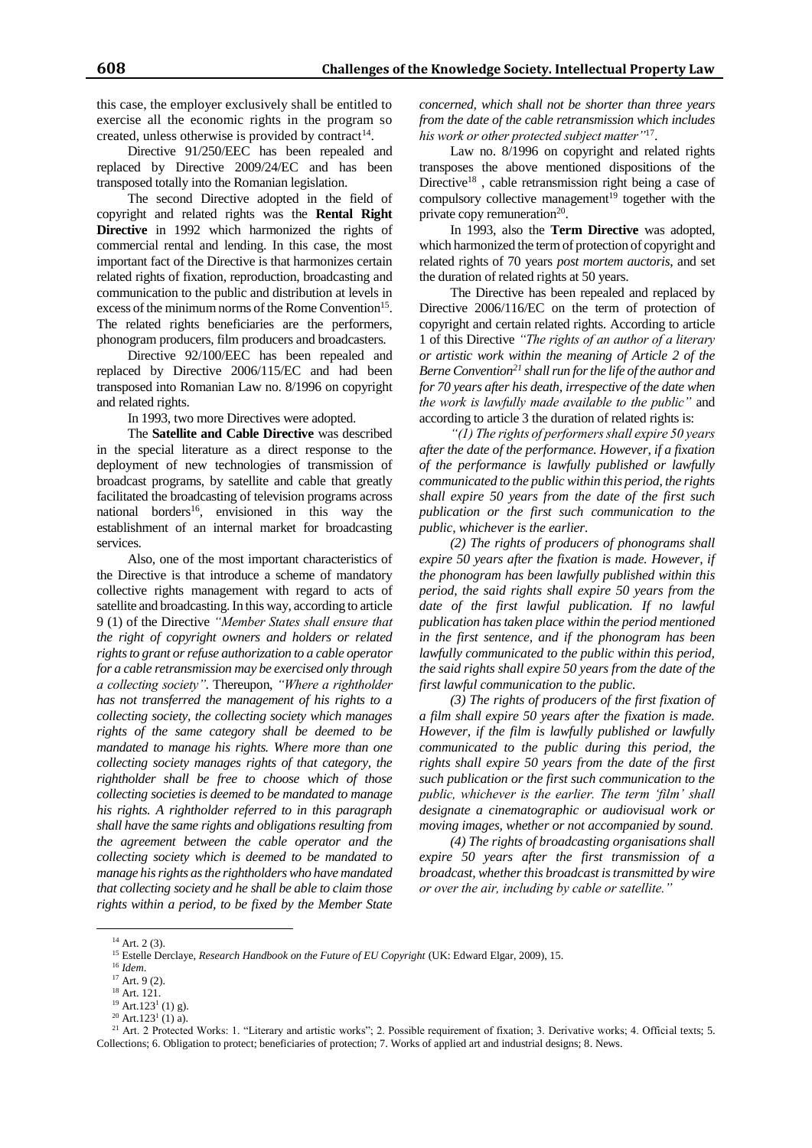Directive 91/250/EEC has been repealed and replaced by Directive 2009/24/EC and has been transposed totally into the Romanian legislation.

The second Directive adopted in the field of copyright and related rights was the **Rental Right Directive** in 1992 which harmonized the rights of commercial rental and lending. In this case, the most important fact of the Directive is that harmonizes certain related rights of fixation, reproduction, broadcasting and communication to the public and distribution at levels in excess of the minimum norms of the Rome Convention<sup>15</sup>. The related rights beneficiaries are the performers, phonogram producers, film producers and broadcasters.

Directive 92/100/EEC has been repealed and replaced by Directive 2006/115/EC and had been transposed into Romanian Law no. 8/1996 on copyright and related rights.

In 1993, two more Directives were adopted.

The **Satellite and Cable Directive** was described in the special literature as a direct response to the deployment of new technologies of transmission of broadcast programs, by satellite and cable that greatly facilitated the broadcasting of television programs across national borders<sup>16</sup>, envisioned in this way the establishment of an internal market for broadcasting services.

Also, one of the most important characteristics of the Directive is that introduce a scheme of mandatory collective rights management with regard to acts of satellite and broadcasting. In this way, according to article 9 (1) of the Directive *"Member States shall ensure that the right of copyright owners and holders or related rights to grant or refuse authorization to a cable operator for a cable retransmission may be exercised only through a collecting society"*. Thereupon, *"Where a rightholder has not transferred the management of his rights to a collecting society, the collecting society which manages rights of the same category shall be deemed to be mandated to manage his rights. Where more than one collecting society manages rights of that category, the rightholder shall be free to choose which of those collecting societies is deemed to be mandated to manage his rights. A rightholder referred to in this paragraph shall have the same rights and obligations resulting from the agreement between the cable operator and the collecting society which is deemed to be mandated to manage his rights as the rightholders who have mandated that collecting society and he shall be able to claim those rights within a period, to be fixed by the Member State* 

*concerned, which shall not be shorter than three years from the date of the cable retransmission which includes his work or other protected subject matter"*<sup>17</sup> .

Law no. 8/1996 on copyright and related rights transposes the above mentioned dispositions of the Directive<sup>18</sup>, cable retransmission right being a case of compulsory collective management<sup>19</sup> together with the private copy remuneration<sup>20</sup>.

In 1993, also the **Term Directive** was adopted, which harmonized the term of protection of copyright and related rights of 70 years *post mortem auctoris*, and set the duration of related rights at 50 years.

The Directive has been repealed and replaced by Directive 2006/116/EC on the term of protection of copyright and certain related rights. According to article 1 of this Directive *"The rights of an author of a literary or artistic work within the meaning of Article 2 of the Berne Convention<sup>21</sup> shall run for the life of the author and for 70 years after his death, irrespective of the date when the work is lawfully made available to the public"* and according to article 3 the duration of related rights is:

*"(1) The rights of performers shall expire 50 years after the date of the performance. However, if a fixation of the performance is lawfully published or lawfully communicated to the public within this period, the rights shall expire 50 years from the date of the first such publication or the first such communication to the public, whichever is the earlier.*

*(2) The rights of producers of phonograms shall expire 50 years after the fixation is made. However, if the phonogram has been lawfully published within this period, the said rights shall expire 50 years from the date of the first lawful publication. If no lawful publication has taken place within the period mentioned in the first sentence, and if the phonogram has been lawfully communicated to the public within this period, the said rights shall expire 50 years from the date of the first lawful communication to the public.*

*(3) The rights of producers of the first fixation of a film shall expire 50 years after the fixation is made. However, if the film is lawfully published or lawfully communicated to the public during this period, the rights shall expire 50 years from the date of the first such publication or the first such communication to the public, whichever is the earlier. The term 'film' shall designate a cinematographic or audiovisual work or moving images, whether or not accompanied by sound.*

*(4) The rights of broadcasting organisations shall expire 50 years after the first transmission of a broadcast, whether this broadcast is transmitted by wire or over the air, including by cable or satellite."*

 $14$  Art. 2 (3).

<sup>&</sup>lt;sup>15</sup> Estelle Derclaye, *Research Handbook on the Future of EU Copyright* (UK: Edward Elgar, 2009), 15.

<sup>16</sup> *Idem*.

 $17$  Art. 9 (2).

<sup>18</sup> Art. 121.

 $19$  Art.123<sup>1</sup> (1) g).  $20$  Art.123<sup>1</sup> (1) a).

<sup>&</sup>lt;sup>21</sup> Art. 2 Protected Works: 1. "Literary and artistic works"; 2. Possible requirement of fixation; 3. Derivative works; 4. Official texts; 5. Collections; 6. Obligation to protect; beneficiaries of protection; 7. Works of applied art and industrial designs; 8. News.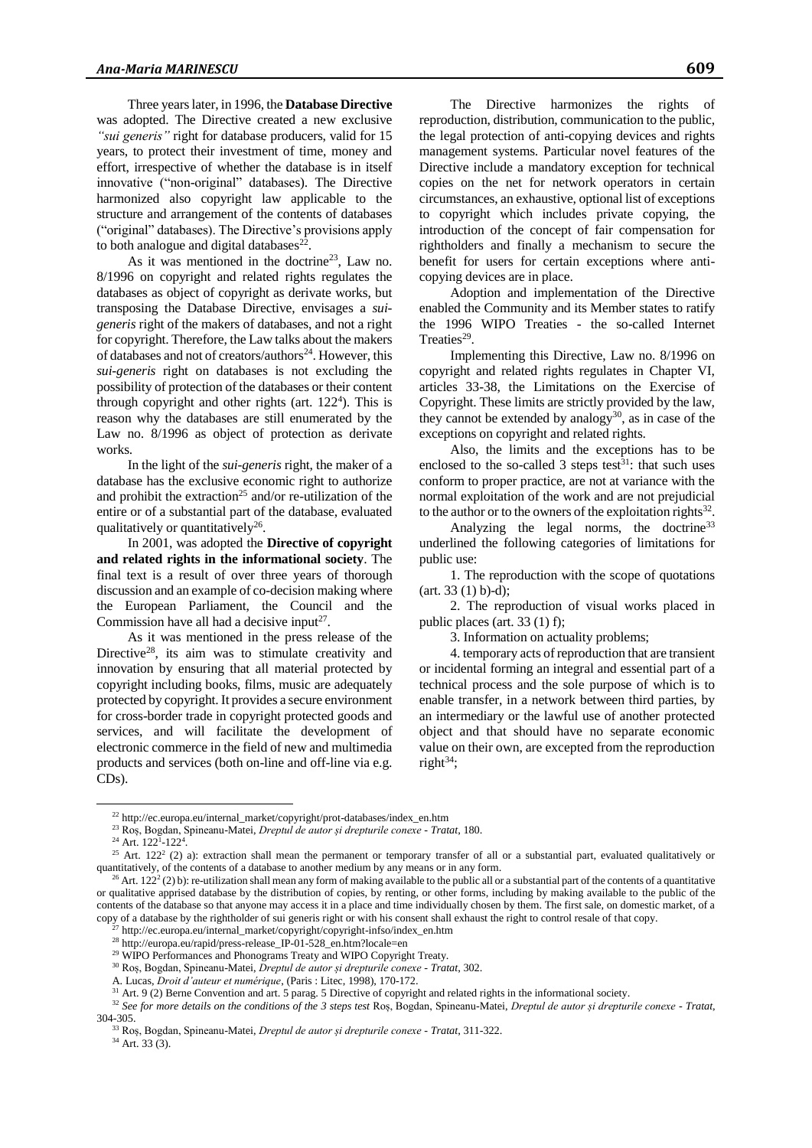Three years later, in 1996, the **Database Directive** was adopted. The Directive created a new exclusive *"sui generis"* right for database producers, valid for 15 years, to protect their investment of time, money and effort, irrespective of whether the database is in itself innovative ("non-original" databases). The Directive harmonized also copyright law applicable to the structure and arrangement of the contents of databases ("original" databases). The Directive's provisions apply to both analogue and digital databases $^{22}$ .

As it was mentioned in the doctrine<sup>23</sup>, Law no. 8/1996 on copyright and related rights regulates the databases as object of copyright as derivate works, but transposing the Database Directive, envisages a *suigeneris* right of the makers of databases, and not a right for copyright. Therefore, the Law talks about the makers of databases and not of creators/authors<sup>24</sup>. However, this *sui-generis* right on databases is not excluding the possibility of protection of the databases or their content through copyright and other rights (art.  $122<sup>4</sup>$ ). This is reason why the databases are still enumerated by the Law no. 8/1996 as object of protection as derivate works.

In the light of the *sui-generis* right, the maker of a database has the exclusive economic right to authorize and prohibit the extraction<sup>25</sup> and/or re-utilization of the entire or of a substantial part of the database, evaluated qualitatively or quantitatively<sup>26</sup>.

In 2001, was adopted the **Directive of copyright and related rights in the informational society**. The final text is a result of over three years of thorough discussion and an example of co-decision making where the European Parliament, the Council and the Commission have all had a decisive input<sup>27</sup>.

As it was mentioned in the press release of the Directive<sup>28</sup>, its aim was to stimulate creativity and innovation by ensuring that all material protected by copyright including books, films, music are adequately protected by copyright. It provides a secure environment for cross-border trade in copyright protected goods and services, and will facilitate the development of electronic commerce in the field of new and multimedia products and services (both on-line and off-line via e.g. CDs).

The Directive harmonizes the rights of reproduction, distribution, communication to the public, the legal protection of anti-copying devices and rights management systems. Particular novel features of the Directive include a mandatory exception for technical copies on the net for network operators in certain circumstances, an exhaustive, optional list of exceptions to copyright which includes private copying, the introduction of the concept of fair compensation for rightholders and finally a mechanism to secure the benefit for users for certain exceptions where anticopying devices are in place.

Adoption and implementation of the Directive enabled the Community and its Member states to ratify the 1996 WIPO Treaties - the so-called Internet Treaties<sup>29</sup>.

Implementing this Directive, Law no. 8/1996 on copyright and related rights regulates in Chapter VI, articles 33-38, the Limitations on the Exercise of Copyright. These limits are strictly provided by the law, they cannot be extended by analogy<sup>30</sup>, as in case of the exceptions on copyright and related rights.

Also, the limits and the exceptions has to be enclosed to the so-called 3 steps test $31$ : that such uses conform to proper practice, are not at variance with the normal exploitation of the work and are not prejudicial to the author or to the owners of the exploitation rights $^{32}$ .

Analyzing the legal norms, the doctrine<sup>33</sup> underlined the following categories of limitations for public use:

1. The reproduction with the scope of quotations  $(art. 33 (1) b)-d);$ 

2. The reproduction of visual works placed in public places (art. 33 (1) f);

3. Information on actuality problems;

4. temporary acts of reproduction that are transient or incidental forming an integral and essential part of a technical process and the sole purpose of which is to enable transfer, in a network between third parties, by an intermediary or the lawful use of another protected object and that should have no separate economic value on their own, are excepted from the reproduction right $^{34}$ ;

 $\overline{a}$ 

<sup>30</sup> Roș, Bogdan, Spineanu-Matei, *Dreptul de autor și drepturile conexe - Tratat*, 302.

<sup>34</sup> Art. 33 (3).

<sup>22</sup> http://ec.europa.eu/internal\_market/copyright/prot-databases/index\_en.htm

<sup>23</sup> Roș, Bogdan, Spineanu-Matei, *Dreptul de autor și drepturile conexe - Tratat*, 180.

 $24$  Art.  $122<sup>1</sup>$ -122<sup>4</sup>.

<sup>&</sup>lt;sup>25</sup> Art. 122<sup>2</sup> (2) a): extraction shall mean the permanent or temporary transfer of all or a substantial part, evaluated qualitatively or quantitatively, of the contents of a database to another medium by any means or in any form.

<sup>&</sup>lt;sup>26</sup> Art. 122<sup>2</sup> (2) b): re-utilization shall mean any form of making available to the public all or a substantial part of the contents of a quantitative or qualitative apprised database by the distribution of copies, by renting, or other forms, including by making available to the public of the contents of the database so that anyone may access it in a place and time individually chosen by them. The first sale, on domestic market, of a copy of a database by the rightholder of sui generis right or with his consent shall exhaust the right to control resale of that copy.

<sup>27</sup> http://ec.europa.eu/internal\_market/copyright/copyright-infso/index\_en.htm

<sup>28</sup> http://europa.eu/rapid/press-release\_IP-01-528\_en.htm?locale=en

<sup>&</sup>lt;sup>29</sup> WIPO Performances and Phonograms Treaty and WIPO Copyright Treaty.

A. Lucas, *Droit d'auteur et numérique*, (Paris : Litec, 1998), 170-172.

<sup>&</sup>lt;sup>31</sup> Art. 9 (2) Berne Convention and art. 5 parag. 5 Directive of copyright and related rights in the informational society.

<sup>32</sup> *See for more details on the conditions of the 3 steps test* Roș, Bogdan, Spineanu-Matei, *Dreptul de autor și drepturile conexe - Tratat*, 304-305.

<sup>33</sup> Roș, Bogdan, Spineanu-Matei, *Dreptul de autor și drepturile conexe - Tratat*, 311-322.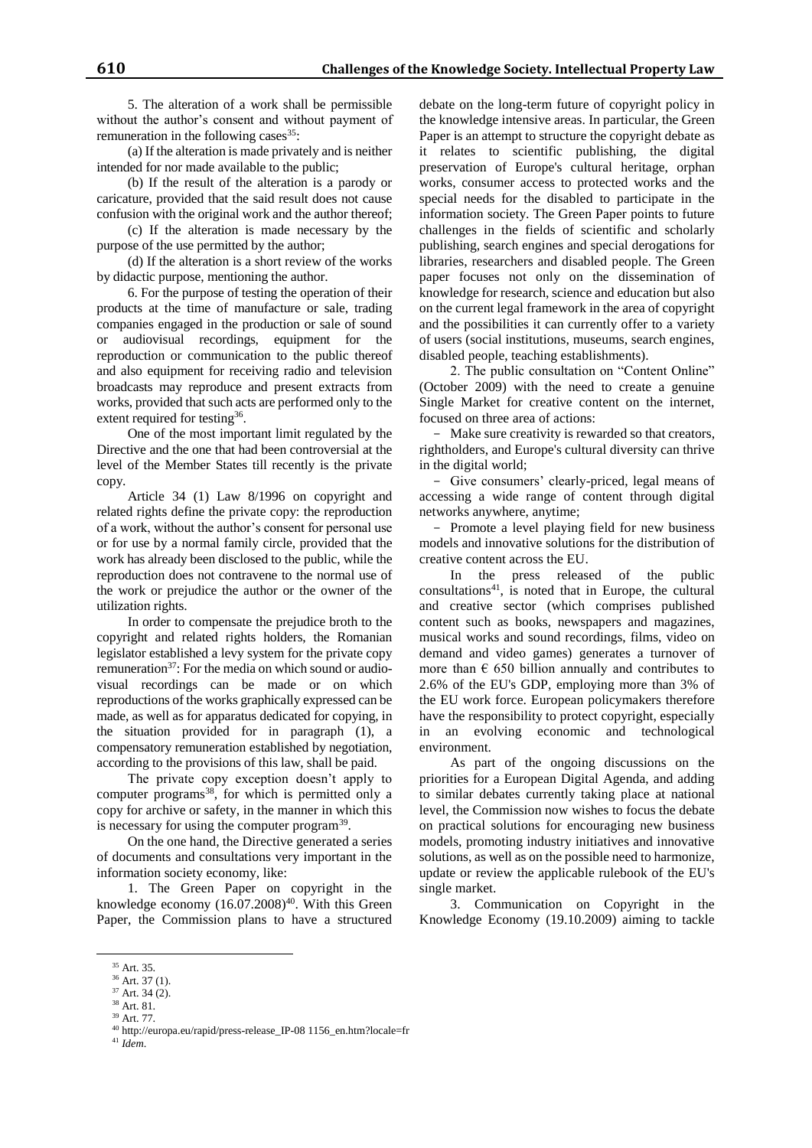5. The alteration of a work shall be permissible without the author's consent and without payment of remuneration in the following cases $35$ :

(a) If the alteration is made privately and is neither intended for nor made available to the public;

(b) If the result of the alteration is a parody or caricature, provided that the said result does not cause confusion with the original work and the author thereof;

(c) If the alteration is made necessary by the purpose of the use permitted by the author;

(d) If the alteration is a short review of the works by didactic purpose, mentioning the author.

6. For the purpose of testing the operation of their products at the time of manufacture or sale, trading companies engaged in the production or sale of sound or audiovisual recordings, equipment for the reproduction or communication to the public thereof and also equipment for receiving radio and television broadcasts may reproduce and present extracts from works, provided that such acts are performed only to the extent required for testing<sup>36</sup>.

One of the most important limit regulated by the Directive and the one that had been controversial at the level of the Member States till recently is the private copy.

Article 34 (1) Law 8/1996 on copyright and related rights define the private copy: the reproduction of a work, without the author's consent for personal use or for use by a normal family circle, provided that the work has already been disclosed to the public, while the reproduction does not contravene to the normal use of the work or prejudice the author or the owner of the utilization rights.

In order to compensate the prejudice broth to the copyright and related rights holders, the Romanian legislator established a levy system for the private copy remuneration $37$ : For the media on which sound or audiovisual recordings can be made or on which reproductions of the works graphically expressed can be made, as well as for apparatus dedicated for copying, in the situation provided for in paragraph (1), a compensatory remuneration established by negotiation, according to the provisions of this law, shall be paid.

The private copy exception doesn't apply to computer programs<sup>38</sup>, for which is permitted only a copy for archive or safety, in the manner in which this is necessary for using the computer program<sup>39</sup>.

On the one hand, the Directive generated a series of documents and consultations very important in the information society economy, like:

1. The Green Paper on copyright in the knowledge economy  $(16.07.2008)^{40}$ . With this Green Paper, the Commission plans to have a structured debate on the long-term future of copyright policy in the knowledge intensive areas. In particular, the Green Paper is an attempt to structure the copyright debate as it relates to scientific publishing, the digital preservation of Europe's cultural heritage, orphan works, consumer access to protected works and the special needs for the disabled to participate in the information society. The Green Paper points to future challenges in the fields of scientific and scholarly publishing, search engines and special derogations for libraries, researchers and disabled people. The Green paper focuses not only on the dissemination of knowledge for research, science and education but also on the current legal framework in the area of copyright and the possibilities it can currently offer to a variety of users (social institutions, museums, search engines, disabled people, teaching establishments).

2. The public consultation on "Content Online" (October 2009) with the need to create a genuine Single Market for creative content on the internet, focused on three area of actions:

- Make sure creativity is rewarded so that creators, rightholders, and Europe's cultural diversity can thrive in the digital world;

 Give consumers' clearly-priced, legal means of accessing a wide range of content through digital networks anywhere, anytime;

- Promote a level playing field for new business models and innovative solutions for the distribution of creative content across the EU.

In the press released of the public  $consultations<sup>41</sup>$ , is noted that in Europe, the cultural and creative sector (which comprises published content such as books, newspapers and magazines, musical works and sound recordings, films, video on demand and video games) generates a turnover of more than  $\epsilon$  650 billion annually and contributes to 2.6% of the EU's GDP, employing more than 3% of the EU work force. European policymakers therefore have the responsibility to protect copyright, especially in an evolving economic and technological environment.

As part of the ongoing discussions on the priorities for a European Digital Agenda, and adding to similar debates currently taking place at national level, the Commission now wishes to focus the debate on practical solutions for encouraging new business models, promoting industry initiatives and innovative solutions, as well as on the possible need to harmonize, update or review the applicable rulebook of the EU's single market.

3. Communication on Copyright in the Knowledge Economy (19.10.2009) aiming to tackle

<sup>&</sup>lt;sup>35</sup> Art. 35.

<sup>36</sup> Art. 37 (1).

 $37$  Art. 34 (2).  $^{38}$  Art. 81.

<sup>39</sup> Art. 77.

<sup>40</sup> http://europa.eu/rapid/press-release\_IP-08 1156\_en.htm?locale=fr <sup>41</sup> *Idem*.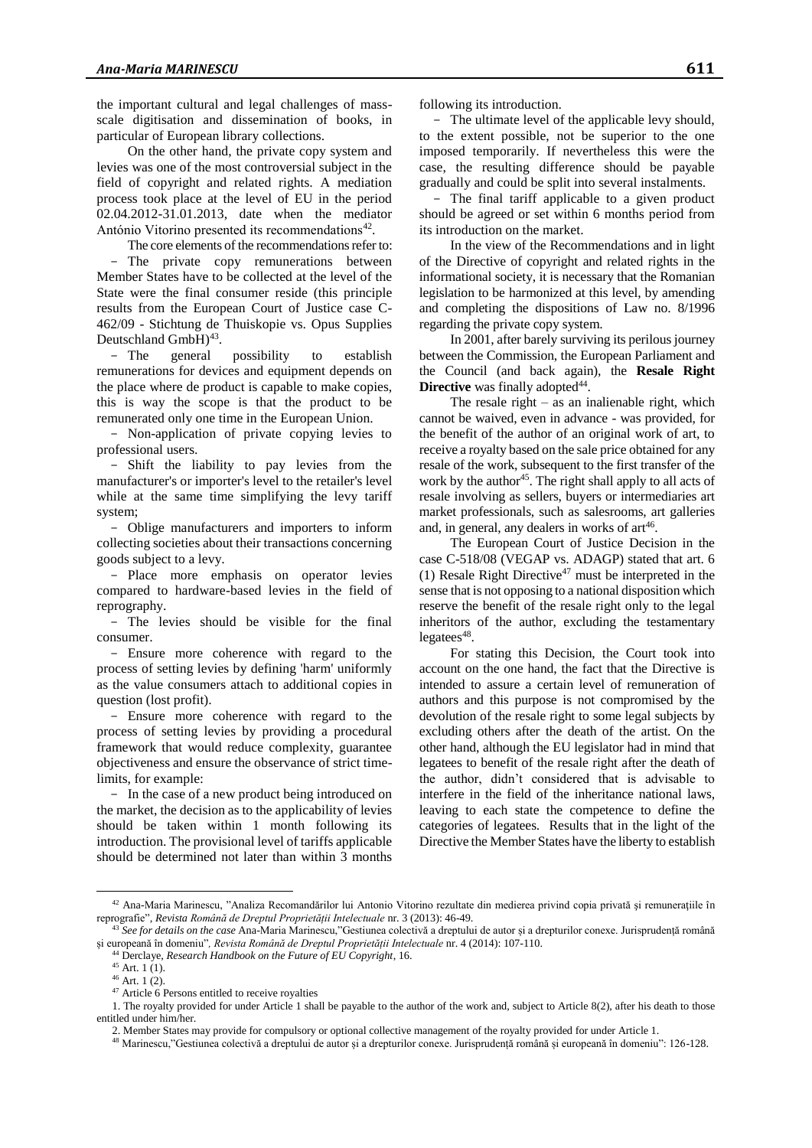the important cultural and legal challenges of massscale digitisation and dissemination of books, in particular of European library collections.

On the other hand, the private copy system and levies was one of the most controversial subject in the field of copyright and related rights. A mediation process took place at the level of EU in the period 02.04.2012-31.01.2013, date when the mediator António Vitorino presented its recommendations<sup>42</sup>.

The core elements of the recommendations refer to: - The private copy remunerations between Member States have to be collected at the level of the State were the final consumer reside (this principle results from the European Court of Justice case C-462/09 - Stichtung de Thuiskopie vs. Opus Supplies Deutschland GmbH)<sup>43</sup>.

- The general possibility to establish remunerations for devices and equipment depends on the place where de product is capable to make copies, this is way the scope is that the product to be remunerated only one time in the European Union.

 Non-application of private copying levies to professional users.

- Shift the liability to pay levies from the manufacturer's or importer's level to the retailer's level while at the same time simplifying the levy tariff system;

 Oblige manufacturers and importers to inform collecting societies about their transactions concerning goods subject to a levy.

- Place more emphasis on operator levies compared to hardware-based levies in the field of reprography.

 The levies should be visible for the final consumer.

- Ensure more coherence with regard to the process of setting levies by defining 'harm' uniformly as the value consumers attach to additional copies in question (lost profit).

- Ensure more coherence with regard to the process of setting levies by providing a procedural framework that would reduce complexity, guarantee objectiveness and ensure the observance of strict timelimits, for example:

- In the case of a new product being introduced on the market, the decision as to the applicability of levies should be taken within 1 month following its introduction. The provisional level of tariffs applicable should be determined not later than within 3 months following its introduction.

- The ultimate level of the applicable levy should, to the extent possible, not be superior to the one imposed temporarily. If nevertheless this were the case, the resulting difference should be payable gradually and could be split into several instalments.

 The final tariff applicable to a given product should be agreed or set within 6 months period from its introduction on the market.

In the view of the Recommendations and in light of the Directive of copyright and related rights in the informational society, it is necessary that the Romanian legislation to be harmonized at this level, by amending and completing the dispositions of Law no. 8/1996 regarding the private copy system.

In 2001, after barely surviving its perilous journey between the Commission, the European Parliament and the Council (and back again), the **Resale Right Directive** was finally adopted<sup>44</sup>.

The resale right  $-$  as an inalienable right, which cannot be waived, even in advance - was provided, for the benefit of the author of an original work of art, to receive a royalty based on the sale price obtained for any resale of the work, subsequent to the first transfer of the work by the author<sup>45</sup>. The right shall apply to all acts of resale involving as sellers, buyers or intermediaries art market professionals, such as salesrooms, art galleries and, in general, any dealers in works of art<sup>46</sup>.

The European Court of Justice Decision in the case C-518/08 (VEGAP vs. ADAGP) stated that art. 6 (1) Resale Right Directive<sup>47</sup> must be interpreted in the sense that is not opposing to a national disposition which reserve the benefit of the resale right only to the legal inheritors of the author, excluding the testamentary  $legates<sup>48</sup>$ .

For stating this Decision, the Court took into account on the one hand, the fact that the Directive is intended to assure a certain level of remuneration of authors and this purpose is not compromised by the devolution of the resale right to some legal subjects by excluding others after the death of the artist. On the other hand, although the EU legislator had in mind that legatees to benefit of the resale right after the death of the author, didn't considered that is advisable to interfere in the field of the inheritance national laws, leaving to each state the competence to define the categories of legatees. Results that in the light of the Directive the Member States have the liberty to establish

<sup>42</sup> Ana-Maria Marinescu, "Analiza Recomandărilor lui Antonio Vitorino rezultate din medierea privind copia privată şi remuneraţiile în reprografie"*, Revista Română de Dreptul Proprietății Intelectuale* nr. 3 (2013): 46-49.

<sup>&</sup>lt;sup>5</sup> See for details on the case Ana-Maria Marinescu,"Gestiunea colectivă a dreptului de autor și a drepturilor conexe. Jurisprudență română și europeană în domeniu"*, Revista Română de Dreptul Proprietății Intelectuale* nr. 4 (2014): 107-110.

<sup>44</sup> Derclaye, *Research Handbook on the Future of EU Copyright*, 16.

<sup>45</sup> Art. 1 (1).  $46$  Art. 1 (2).

<sup>&</sup>lt;sup>47</sup> Article 6 Persons entitled to receive royalties

<sup>1.</sup> The royalty provided for under Article 1 shall be payable to the author of the work and, subject to Article 8(2), after his death to those entitled under him/her.

<sup>2.</sup> Member States may provide for compulsory or optional collective management of the royalty provided for under Article 1.

<sup>48</sup> Marinescu,"Gestiunea colectivă a dreptului de autor și a drepturilor conexe. Jurisprudență română și europeană în domeniu": 126-128.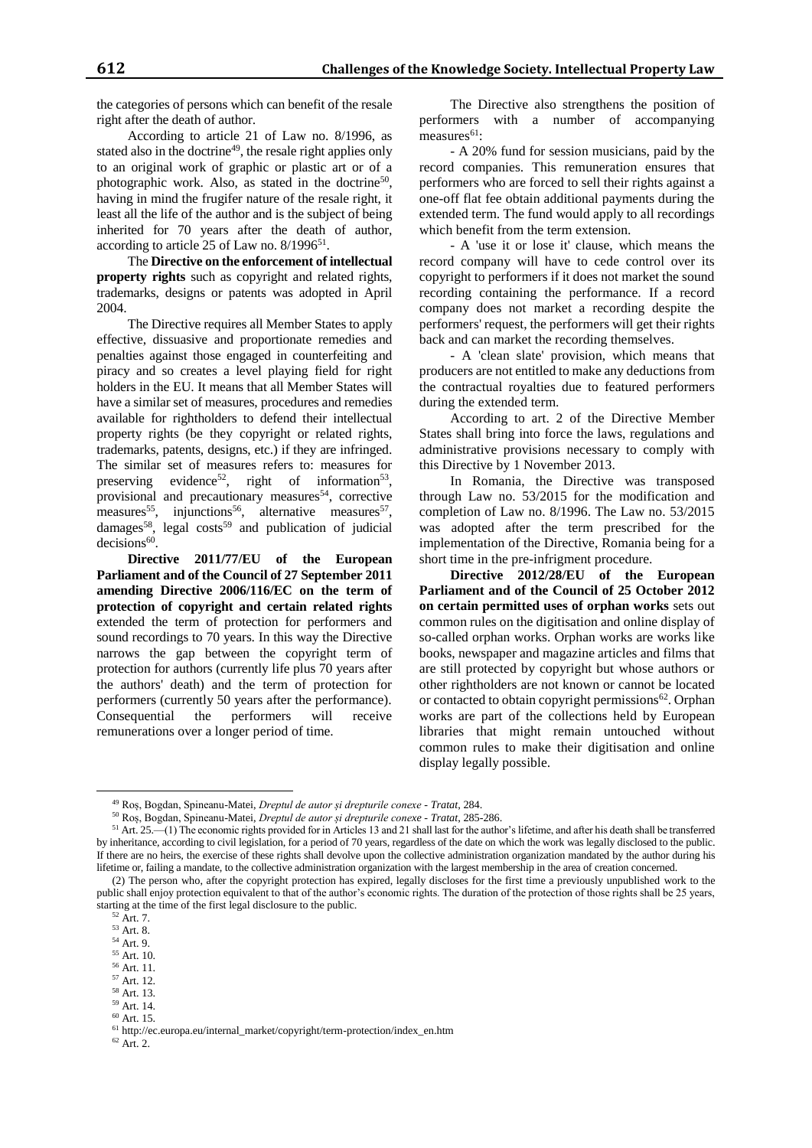the categories of persons which can benefit of the resale right after the death of author.

According to article 21 of Law no. 8/1996, as stated also in the doctrine<sup>49</sup>, the resale right applies only to an original work of graphic or plastic art or of a photographic work. Also, as stated in the doctrine<sup>50</sup>, having in mind the frugifer nature of the resale right, it least all the life of the author and is the subject of being inherited for 70 years after the death of author, according to article 25 of Law no. 8/1996<sup>51</sup>.

The **Directive on the enforcement of intellectual property rights** such as copyright and related rights, trademarks, designs or patents was adopted in April 2004.

The Directive requires all Member States to apply effective, dissuasive and proportionate remedies and penalties against those engaged in counterfeiting and piracy and so creates a level playing field for right holders in the EU. It means that all Member States will have a similar set of measures, procedures and remedies available for rightholders to defend their intellectual property rights (be they copyright or related rights, trademarks, patents, designs, etc.) if they are infringed. The similar set of measures refers to: measures for preserving evidence<sup>52</sup>, right of information<sup>53</sup>, provisional and precautionary measures<sup>54</sup>, corrective measures<sup>55</sup>, injunctions<sup>56</sup>, alternative measures<sup>57</sup>, damages<sup>58</sup>, legal costs<sup>59</sup> and publication of judicial decisions<sup>60</sup>.

**Directive 2011/77/EU of the European Parliament and of the Council of 27 September 2011 amending Directive 2006/116/EC on the term of protection of copyright and certain related rights** extended the term of protection for performers and sound recordings to 70 years. In this way the Directive narrows the gap between the copyright term of protection for authors (currently life plus 70 years after the authors' death) and the term of protection for performers (currently 50 years after the performance). Consequential the performers will receive remunerations over a longer period of time.

The Directive also strengthens the position of performers with a number of accompanying measures<sup>61</sup>:

- A 20% fund for session musicians, paid by the record companies. This remuneration ensures that performers who are forced to sell their rights against a one-off flat fee obtain additional payments during the extended term. The fund would apply to all recordings which benefit from the term extension.

- A 'use it or lose it' clause, which means the record company will have to cede control over its copyright to performers if it does not market the sound recording containing the performance. If a record company does not market a recording despite the performers' request, the performers will get their rights back and can market the recording themselves.

- A 'clean slate' provision, which means that producers are not entitled to make any deductions from the contractual royalties due to featured performers during the extended term.

According to art. 2 of the Directive Member States shall bring into force the laws, regulations and administrative provisions necessary to comply with this Directive by 1 November 2013.

In Romania, the Directive was transposed through Law no. 53/2015 for the modification and completion of Law no. 8/1996. The Law no. 53/2015 was adopted after the term prescribed for the implementation of the Directive, Romania being for a short time in the pre-infrigment procedure.

**Directive 2012/28/EU of the European Parliament and of the Council of 25 October 2012 on certain permitted uses of orphan works** sets out common rules on the digitisation and online display of so-called orphan works. Orphan works are works like books, newspaper and magazine articles and films that are still protected by copyright but whose authors or other rightholders are not known or cannot be located or contacted to obtain copyright permissions<sup>62</sup>. Orphan works are part of the collections held by European libraries that might remain untouched without common rules to make their digitisation and online display legally possible.

 $\overline{a}$ 

 $60$  Art. 15.

<sup>49</sup> Roș, Bogdan, Spineanu-Matei, *Dreptul de autor și drepturile conexe - Tratat*, 284.

<sup>50</sup> Roș, Bogdan, Spineanu-Matei, *Dreptul de autor și drepturile conexe - Tratat*, 285-286.

<sup>51</sup> Art. 25.—(1) The economic rights provided for in Articles 13 and 21 shall last for the author's lifetime, and after his death shall be transferred by inheritance, according to civil legislation, for a period of 70 years, regardless of the date on which the work was legally disclosed to the public. If there are no heirs, the exercise of these rights shall devolve upon the collective administration organization mandated by the author during his lifetime or, failing a mandate, to the collective administration organization with the largest membership in the area of creation concerned.

<sup>(2)</sup> The person who, after the copyright protection has expired, legally discloses for the first time a previously unpublished work to the public shall enjoy protection equivalent to that of the author's economic rights. The duration of the protection of those rights shall be 25 years, starting at the time of the first legal disclosure to the public.

<sup>52</sup> Art. 7.

<sup>53</sup> Art. 8.

<sup>54</sup> Art. 9.

<sup>55</sup> Art. 10.

<sup>56</sup> Art. 11. <sup>57</sup> Art. 12.

<sup>58</sup> Art. 13.

<sup>59</sup> Art. 14.

 $^{61}$ http://ec.europa.eu/internal\_market/copyright/term-protection/index\_en.htm

 $62$  Art. 2.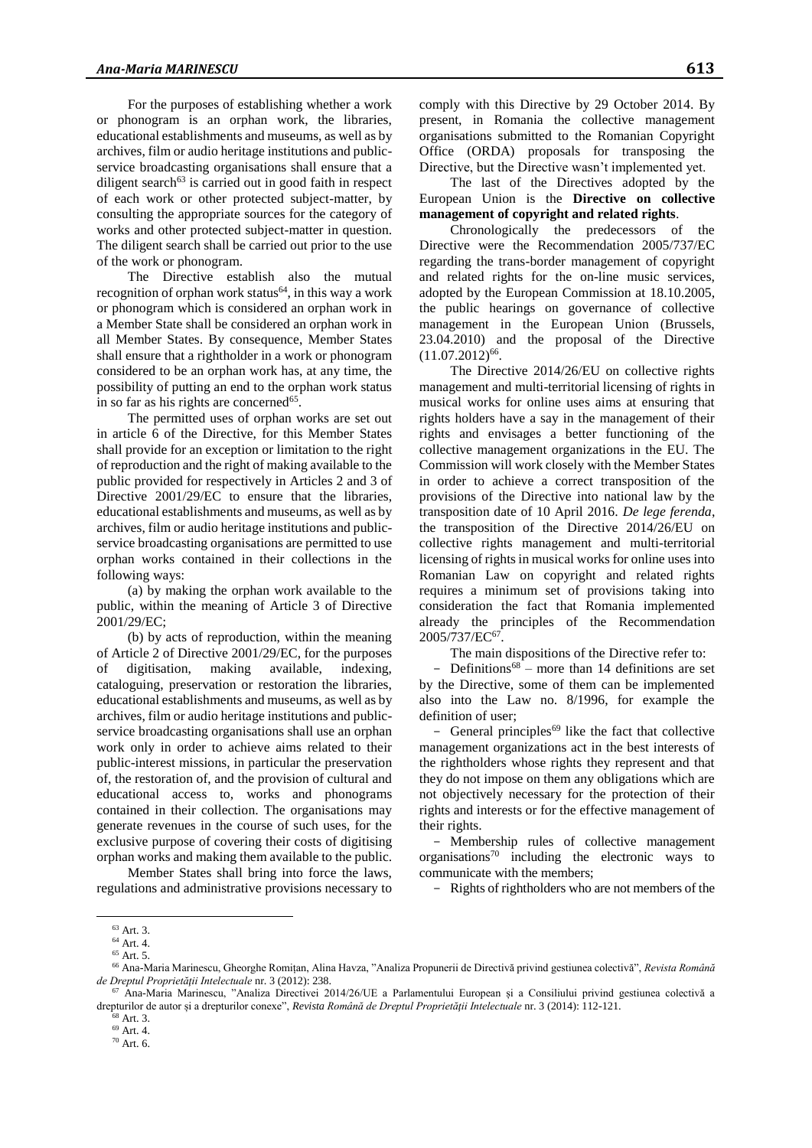For the purposes of establishing whether a work or phonogram is an orphan work, the libraries, educational establishments and museums, as well as by archives, film or audio heritage institutions and publicservice broadcasting organisations shall ensure that a diligent search $63$  is carried out in good faith in respect of each work or other protected subject-matter, by consulting the appropriate sources for the category of works and other protected subject-matter in question. The diligent search shall be carried out prior to the use of the work or phonogram.

The Directive establish also the mutual recognition of orphan work status $64$ , in this way a work or phonogram which is considered an orphan work in a Member State shall be considered an orphan work in all Member States. By consequence, Member States shall ensure that a rightholder in a work or phonogram considered to be an orphan work has, at any time, the possibility of putting an end to the orphan work status in so far as his rights are concerned<sup>65</sup>.

The permitted uses of orphan works are set out in article 6 of the Directive, for this Member States shall provide for an exception or limitation to the right of reproduction and the right of making available to the public provided for respectively in Articles 2 and 3 of Directive 2001/29/EC to ensure that the libraries, educational establishments and museums, as well as by archives, film or audio heritage institutions and publicservice broadcasting organisations are permitted to use orphan works contained in their collections in the following ways:

(a) by making the orphan work available to the public, within the meaning of Article 3 of Directive 2001/29/EC;

(b) by acts of reproduction, within the meaning of Article 2 of Directive 2001/29/EC, for the purposes of digitisation, making available, indexing, cataloguing, preservation or restoration the libraries, educational establishments and museums, as well as by archives, film or audio heritage institutions and publicservice broadcasting organisations shall use an orphan work only in order to achieve aims related to their public-interest missions, in particular the preservation of, the restoration of, and the provision of cultural and educational access to, works and phonograms contained in their collection. The organisations may generate revenues in the course of such uses, for the exclusive purpose of covering their costs of digitising orphan works and making them available to the public.

Member States shall bring into force the laws, regulations and administrative provisions necessary to comply with this Directive by 29 October 2014. By present, in Romania the collective management organisations submitted to the Romanian Copyright Office (ORDA) proposals for transposing the Directive, but the Directive wasn't implemented yet.

The last of the Directives adopted by the European Union is the **Directive on collective management of copyright and related rights**.

Chronologically the predecessors of the Directive were the Recommendation 2005/737/EC regarding the trans-border management of copyright and related rights for the on-line music services, adopted by the European Commission at 18.10.2005, the public hearings on governance of collective management in the European Union (Brussels, 23.04.2010) and the proposal of the Directive  $(11.07.2012)^{66}$ .

The Directive 2014/26/EU on collective rights management and multi-territorial licensing of rights in musical works for online uses aims at ensuring that rights holders have a say in the management of their rights and envisages a better functioning of the collective management organizations in the EU. The Commission will work closely with the Member States in order to achieve a correct transposition of the provisions of the Directive into national law by the transposition date of 10 April 2016. *De lege ferenda*, the transposition of the Directive 2014/26/EU on collective rights management and multi-territorial licensing of rights in musical works for online uses into Romanian Law on copyright and related rights requires a minimum set of provisions taking into consideration the fact that Romania implemented already the principles of the Recommendation 2005/737/EC<sup>67</sup>.

The main dispositions of the Directive refer to:

- Definitions<sup>68</sup> – more than 14 definitions are set by the Directive, some of them can be implemented also into the Law no. 8/1996, for example the definition of user;

- General principles $^{69}$  like the fact that collective management organizations act in the best interests of the rightholders whose rights they represent and that they do not impose on them any obligations which are not objectively necessary for the protection of their rights and interests or for the effective management of their rights.

 Membership rules of collective management organisations<sup>70</sup> including the electronic ways to communicate with the members;

- Rights of rightholders who are not members of the

<sup>63</sup> Art. 3.

<sup>64</sup> Art. 4.

 $65$  Art. 5.

<sup>66</sup> Ana-Maria Marinescu, Gheorghe Romițan, Alina Havza, "Analiza Propunerii de Directivă privind gestiunea colectivă", *Revista Română de Dreptul Proprietăţii Intelectuale* nr. 3 (2012): 238.

<sup>67</sup> Ana-Maria Marinescu, "Analiza Directivei 2014/26/UE a Parlamentului European și a Consiliului privind gestiunea colectivă a drepturilor de autor și a drepturilor conexe", *Revista Română de Dreptul Proprietăţii Intelectuale* nr. 3 (2014): 112-121.

 $<sup>3</sup>$  Art. 3.</sup> <sup>69</sup> Art. 4.

 $70$  Art. 6.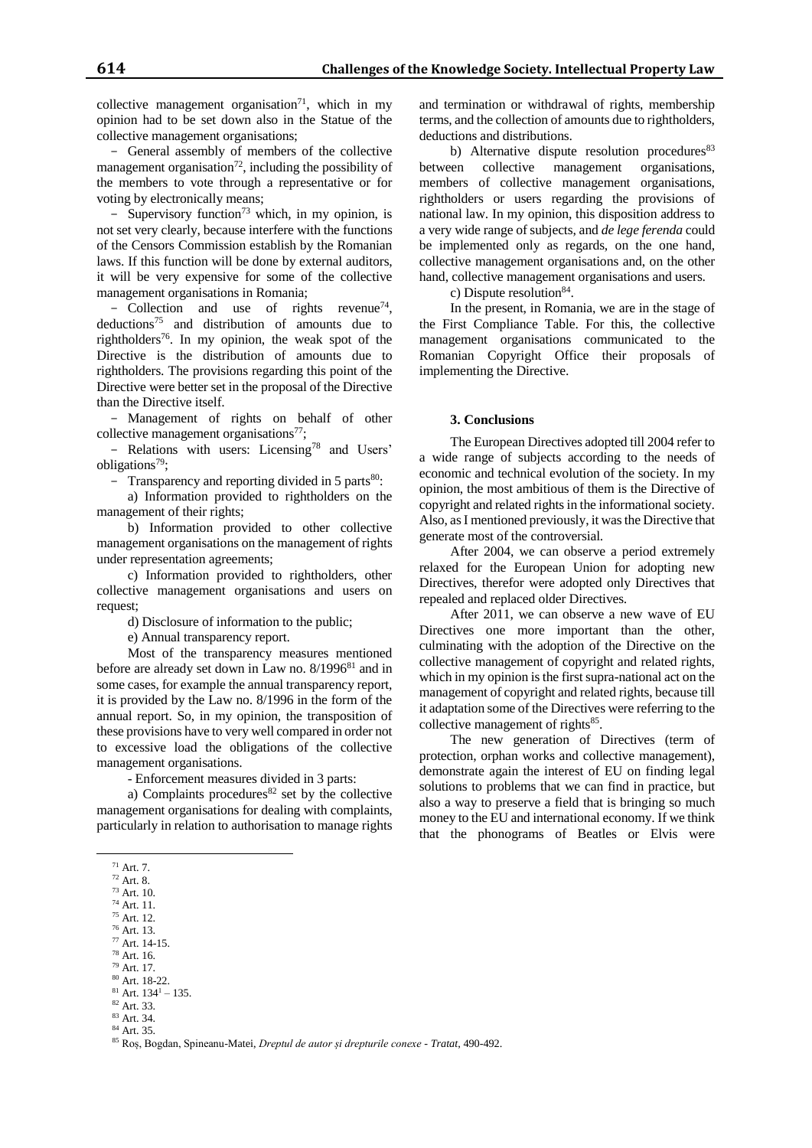collective management organisation<sup>71</sup>, which in my opinion had to be set down also in the Statue of the collective management organisations;

 General assembly of members of the collective management organisation<sup>72</sup>, including the possibility of the members to vote through a representative or for voting by electronically means;

- Supervisory function<sup>73</sup> which, in my opinion, is not set very clearly, because interfere with the functions of the Censors Commission establish by the Romanian laws. If this function will be done by external auditors, it will be very expensive for some of the collective management organisations in Romania;

- Collection and use of rights revenue<sup>74</sup>, deductions<sup>75</sup> and distribution of amounts due to rightholders<sup>76</sup>. In my opinion, the weak spot of the Directive is the distribution of amounts due to rightholders. The provisions regarding this point of the Directive were better set in the proposal of the Directive than the Directive itself.

 Management of rights on behalf of other collective management organisations $77$ ;

- Relations with users: Licensing<sup>78</sup> and Users' obligations<sup>79</sup>;

- Transparency and reporting divided in  $5$  parts<sup>80</sup>:

a) Information provided to rightholders on the management of their rights;

b) Information provided to other collective management organisations on the management of rights under representation agreements;

c) Information provided to rightholders, other collective management organisations and users on request;

d) Disclosure of information to the public;

e) Annual transparency report.

Most of the transparency measures mentioned before are already set down in Law no.  $8/1996^{81}$  and in some cases, for example the annual transparency report, it is provided by the Law no. 8/1996 in the form of the annual report. So, in my opinion, the transposition of these provisions have to very well compared in order not to excessive load the obligations of the collective management organisations.

- Enforcement measures divided in 3 parts:

a) Complaints procedures $82$  set by the collective management organisations for dealing with complaints, particularly in relation to authorisation to manage rights

 $\overline{a}$ 

and termination or withdrawal of rights, membership terms, and the collection of amounts due to rightholders, deductions and distributions.

b) Alternative dispute resolution procedures<sup>83</sup> between collective management organisations, members of collective management organisations, rightholders or users regarding the provisions of national law. In my opinion, this disposition address to a very wide range of subjects, and *de lege ferenda* could be implemented only as regards, on the one hand, collective management organisations and, on the other hand, collective management organisations and users.

c) Dispute resolution<sup>84</sup>.

In the present, in Romania, we are in the stage of the First Compliance Table. For this, the collective management organisations communicated to the Romanian Copyright Office their proposals of implementing the Directive.

#### **3. Conclusions**

The European Directives adopted till 2004 refer to a wide range of subjects according to the needs of economic and technical evolution of the society. In my opinion, the most ambitious of them is the Directive of copyright and related rights in the informational society. Also, as I mentioned previously, it was the Directive that generate most of the controversial.

After 2004, we can observe a period extremely relaxed for the European Union for adopting new Directives, therefor were adopted only Directives that repealed and replaced older Directives.

After 2011, we can observe a new wave of EU Directives one more important than the other, culminating with the adoption of the Directive on the collective management of copyright and related rights, which in my opinion is the first supra-national act on the management of copyright and related rights, because till it adaptation some of the Directives were referring to the collective management of rights<sup>85</sup>.

The new generation of Directives (term of protection, orphan works and collective management), demonstrate again the interest of EU on finding legal solutions to problems that we can find in practice, but also a way to preserve a field that is bringing so much money to the EU and international economy. If we think that the phonograms of Beatles or Elvis were

<sup>71</sup> Art. 7.

<sup>72</sup> Art. 8.

<sup>73</sup> Art. 10. <sup>74</sup> Art. 11.

<sup>75</sup> Art. 12.

<sup>76</sup> Art. 13.

<sup>77</sup> Art. 14-15.

<sup>78</sup> Art. 16.

<sup>79</sup> Art. 17.

<sup>80</sup> Art. 18-22.

 $81$  Art.  $134$ <sup>1</sup> – 135.

<sup>82</sup> Art. 33. <sup>83</sup> Art. 34.

<sup>84</sup> Art. 35.

<sup>85</sup> Roș, Bogdan, Spineanu-Matei, *Dreptul de autor și drepturile conexe - Tratat*, 490-492.